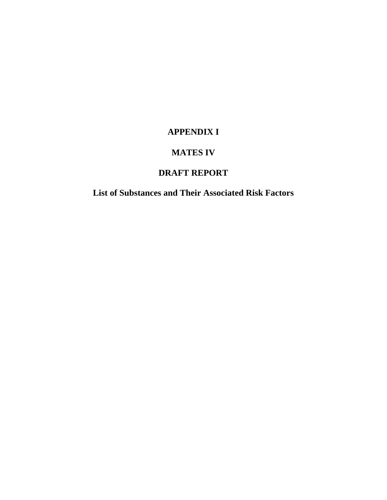#### **APPENDIX I**

#### **MATES IV**

## **DRAFT REPORT**

**List of Substances and Their Associated Risk Factors**